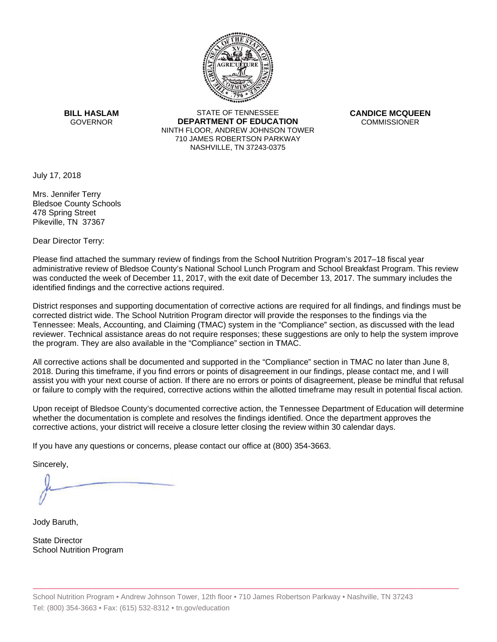

**BILL HASLAM** GOVERNOR **DEI** 

STATE OF TENNESSEE **EPARTMENT OF EDUCATION** NINTH FLOOR, ANDREW JOHNSON TOWER 710 JAMES ROBERTSON PARKWAY NASHVILLE,TN 37243-0375

**CANDICE MCQUEEN** CO OMMISSIONER

July 17, 2018

Mrs. Jennifer Terry Bledsoe County Schools 478 Spring Street Pikeville, TN 37367

Dear Director Terry:

Please find attached the summary review of findings from the School Nutrition Program's 2017–18 fiscal year administrative review of Bledsoe County's National School Lunch Program and School Breakfast Program. This review was conducted the week of December 11, 2017, with the exit date of December 13, 2017. The summary includes the identified findings and the corrective actions required.

Tennessee: Meals, Accounting, and Claiming (TMAC) system in the "Compliance" section, as discussed with the lead District responses and supporting documentation of corrective actions are required for all findings, and findings must be corrected district wide. The School Nutrition Program director will provide the responses to the findings via the reviewer. Technical assistance areas do not require responses; these suggestions are only to help the system improve the program. They are also available in the "Compliance" section in TMAC.

All corrective actions shall be documented and supported in the "Compliance" section in TMAC no later than June 8, 2018. During this timeframe, if you find errors or points of disagreement in our findings, please contact me, and I will assist you with your next course of action. If there are no errors or points of disagreement, please be mindful that refusal or failure to comply with the required, corrective actions within the allotted timeframe may result in potential fiscal action.

Upon receipt of Bledsoe County's documented corrective action, the Tennessee Department of Education will determine whether the documentation is complete and resolves the findings identified. Once the department approves the corrective actions, your district will receive a closure letter closing the review within 30 calendar days.

If you have any questions or concerns, please contact our office at (800) 354-3663.

Sincerely,

Jody Baruth,

State Director School Nutrition Program